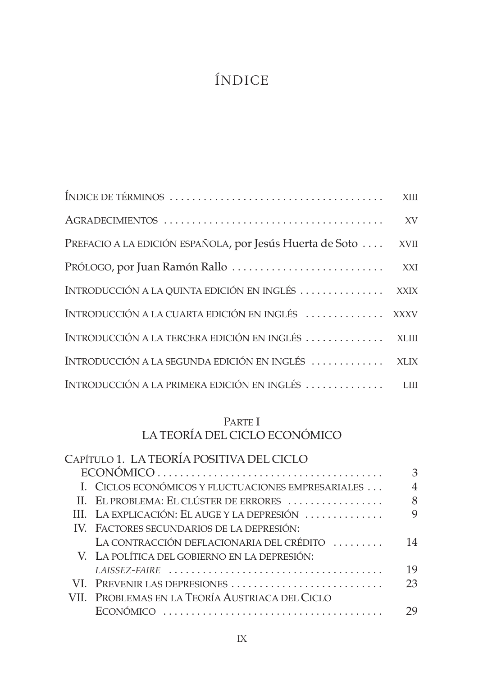# ÍNDICE

|                                                                | XV |
|----------------------------------------------------------------|----|
| PREFACIO A LA EDICIÓN ESPAÑOLA, por Jesús Huerta de Soto  XVII |    |
|                                                                |    |
| INTRODUCCIÓN A LA QUINTA EDICIÓN EN INGLÉS  XXIX               |    |
| INTRODUCCIÓN A LA CUARTA EDICIÓN EN INGLÉS  XXXV               |    |
| INTRODUCCIÓN A LA TERCERA EDICIÓN EN INGLÉS  XLIII             |    |
| INTRODUCCIÓN A LA SEGUNDA EDICIÓN EN INGLÉS  XLIX              |    |
| INTRODUCCIÓN A LA PRIMERA EDICIÓN EN INGLÉS  LIII              |    |

## PARTE I LA TEORÍA DEL CICLO ECONÓMICO

| CAPÍTULO 1. LA TEORÍA POSITIVA DEL CICLO                                                        |    |
|-------------------------------------------------------------------------------------------------|----|
| $ECONÓMICO \ldots \ldots \ldots \ldots \ldots \ldots \ldots \ldots \ldots \ldots \ldots \ldots$ | 3  |
| I. CICLOS ECONÓMICOS Y FLUCTUACIONES EMPRESARIALES                                              | 4  |
| II. EL PROBLEMA: EL CLÚSTER DE ERRORES                                                          | 8  |
| III. LA EXPLICACIÓN: EL AUGE Y LA DEPRESIÓN                                                     | 9  |
| IV. FACTORES SECUNDARIOS DE LA DEPRESIÓN:                                                       |    |
| LA CONTRACCIÓN DEFLACIONARIA DEL CRÉDITO                                                        | 14 |
| V. LA POLÍTICA DEL GOBIERNO EN LA DEPRESIÓN:                                                    |    |
|                                                                                                 | 19 |
| VI. PREVENIR LAS DEPRESIONES                                                                    | 23 |
| VII. PROBLEMAS EN LA TEORÍA AUSTRIACA DEL CICLO                                                 |    |
|                                                                                                 | 29 |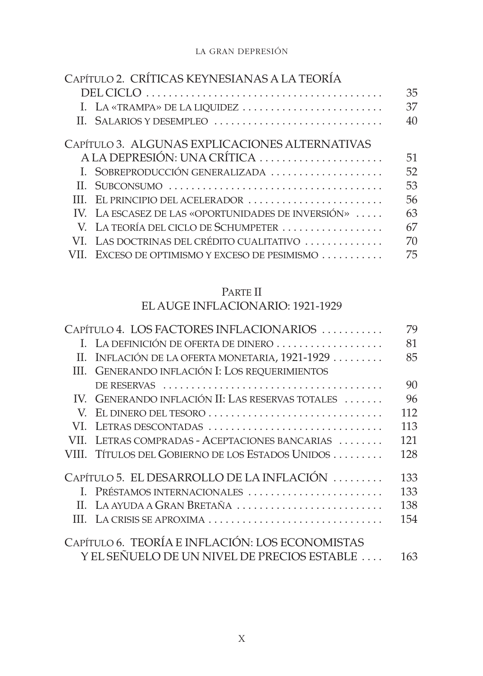#### LA GRAN DEPRESIÓN

| CAPÍTULO 2. CRÍTICAS KEYNESIANAS A LA TEORÍA       |    |
|----------------------------------------------------|----|
|                                                    | 35 |
| I. LA «TRAMPA» DE LA LIQUIDEZ                      | 37 |
| II. SALARIOS Y DESEMPLEO                           | 40 |
| CAPÍTULO 3. ALGUNAS EXPLICACIONES ALTERNATIVAS     |    |
| A LA DEPRESIÓN: UNA CRÍTICA                        | 51 |
| I. SOBREPRODUCCIÓN GENERALIZADA                    | 52 |
|                                                    | 53 |
| III. EL PRINCIPIO DEL ACELERADOR                   | 56 |
| IV. LA ESCASEZ DE LAS «OPORTUNIDADES DE INVERSIÓN» | 63 |
| V. LA TEORÍA DEL CICLO DE SCHUMPETER               | 67 |
| VI. LAS DOCTRINAS DEL CRÉDITO CUALITATIVO          | 70 |
| EXCESO DE OPTIMISMO Y EXCESO DE PESIMISMO          | 75 |

## PARTE II

## EL AUGE INFLACIONARIO: 1921-1929

| CAPÍTULO 4. LOS FACTORES INFLACIONARIOS |                                                  | 79  |
|-----------------------------------------|--------------------------------------------------|-----|
|                                         | I. LA DEFINICIÓN DE OFERTA DE DINERO             | 81  |
| H.                                      | INFLACIÓN DE LA OFERTA MONETARIA, 1921-1929      | 85  |
| Ш                                       | GENERANDO INFLACIÓN I: LOS REQUERIMIENTOS        |     |
|                                         |                                                  | 90  |
|                                         | IV. GENERANDO INFLACIÓN II: LAS RESERVAS TOTALES | 96  |
|                                         |                                                  | 112 |
| VI –                                    | LETRAS DESCONTADAS                               | 113 |
| VII.                                    | LETRAS COMPRADAS - ACEPTACIONES BANCARIAS        | 121 |
|                                         | VIII. Títulos del Gobierno de los Estados Unidos | 128 |
|                                         | CAPÍTULO 5. EL DESARROLLO DE LA INFLACIÓN        | 133 |
|                                         | I. PRÉSTAMOS INTERNACIONALES                     | 133 |
|                                         | II. LA AYUDA A GRAN BRETAÑA                      | 138 |
|                                         | III. LA CRISIS SE APROXIMA                       | 154 |
|                                         | CAPÍTULO 6. TEORÍA E INFLACIÓN: LOS ECONOMISTAS  |     |
|                                         | Y EL SEÑUELO DE UN NIVEL DE PRECIOS ESTABLE      | 163 |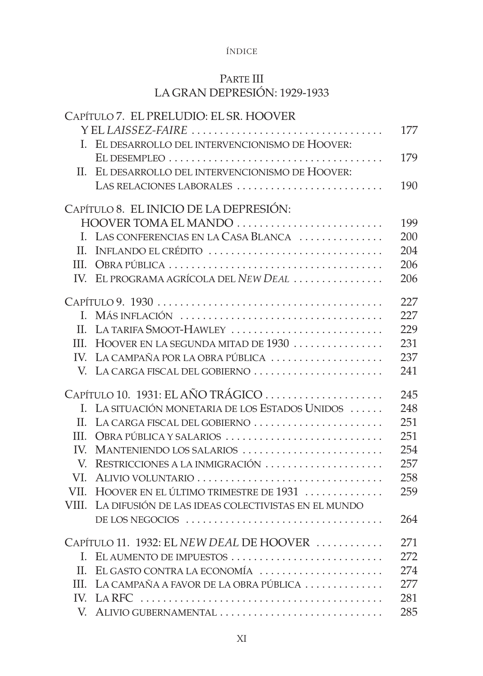#### ÍNDICE

### PARTE III LA GRAN DEPRESIÓN: 1929-1933

|       | CAPÍTULO 7. EL PRELUDIO: EL SR. HOOVER             |     |
|-------|----------------------------------------------------|-----|
|       | YELLAISSEZ-FAIRE                                   | 177 |
|       | I. EL DESARROLLO DEL INTERVENCIONISMO DE HOOVER:   |     |
|       |                                                    | 179 |
| H.    | EL DESARROLLO DEL INTERVENCIONISMO DE HOOVER:      |     |
|       | LAS RELACIONES LABORALES                           | 190 |
|       | CAPÍTULO 8. EL INICIO DE LA DEPRESIÓN:             |     |
|       | HOOVER TOMA EL MANDO                               | 199 |
|       | I. LAS CONFERENCIAS EN LA CASA BLANCA              | 200 |
| II.   | INFLANDO EL CRÉDITO                                | 204 |
|       |                                                    | 206 |
|       | IV. EL PROGRAMA AGRÍCOLA DEL NEW DEAL              | 206 |
|       |                                                    |     |
|       |                                                    | 227 |
| L.    | MÁS INFLACIÓN                                      | 227 |
| H.    | LA TARIFA SMOOT-HAWLEY                             | 229 |
| III.  | HOOVER EN LA SEGUNDA MITAD DE 1930                 | 231 |
| IV.   | LA CAMPAÑA POR LA OBRA PÚBLICA                     | 237 |
|       | V. LA CARGA FISCAL DEL GOBIERNO                    | 241 |
|       |                                                    | 245 |
| L.    | LA SITUACIÓN MONETARIA DE LOS ESTADOS UNIDOS       | 248 |
| H.    | LA CARGA FISCAL DEL GOBIERNO                       | 251 |
| HL.   | OBRA PÚBLICA Y SALARIOS                            | 251 |
| IV.   | MANTENIENDO LOS SALARIOS                           | 254 |
| V.    | RESTRICCIONES A LA INMIGRACIÓN                     | 257 |
| VI.   | ALIVIO VOLUNTARIO                                  | 258 |
| VII.  | HOOVER EN EL ÚLTIMO TRIMESTRE DE 1931              | 259 |
| VIII. | LA DIFUSIÓN DE LAS IDEAS COLECTIVISTAS EN EL MUNDO |     |
|       | DE LOS NEGOCIOS                                    | 264 |
|       | CAPÍTULO 11. 1932: EL NEW DEAL DE HOOVER           | 271 |
| L.    | EL AUMENTO DE IMPUESTOS                            | 272 |
| H.    | EL GASTO CONTRA LA ECONOMÍA                        | 274 |
| HI.   | LA CAMPAÑA A FAVOR DE LA OBRA PÚBLICA              | 277 |
| IV.   |                                                    | 281 |
| V.    | ALIVIO GUBERNAMENTAL                               | 285 |